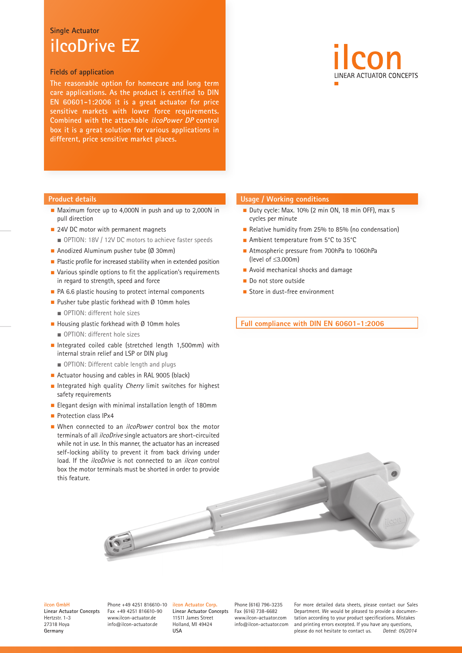## **Single Actuator ilcoDrive EZ**

### **Fields of application**

**The reasonable option for homecare and long term care applications. As the product is certified to DIN EN 60601-1:2006 it is a great actuator for price sensitive markets with lower force requirements. Combined with the attachable ilcoPower DP control box it is a great solution for various applications in different, price sensitive market places.**



#### **Product details**

- Maximum force up to 4,000N in push and up to 2,000N in pull direction
- 24V DC motor with permanent magnets ■ OPTION: 18V / 12V DC motors to achieve faster speeds
- Anodized Aluminum pusher tube (Ø 30mm)
- Plastic profile for increased stability when in extended position
- Various spindle options to fit the application's requirements in regard to strength, speed and force
- PA 6.6 plastic housing to protect internal components
- Pusher tube plastic forkhead with Ø 10mm holes ■ OPTION: different hole sizes
- Housing plastic forkhead with Ø 10mm holes
	- OPTION: different hole sizes
- Integrated coiled cable (stretched length 1,500mm) with internal strain relief and LSP or DIN plug
	- OPTION: Different cable length and plugs
- Actuator housing and cables in RAL 9005 (black)
- Integrated high quality Cherry limit switches for highest safety requirements
- Elegant design with minimal installation length of 180mm
- Protection class IPx4
- When connected to an *ilcoPower* control box the motor terminals of all ilcoDrive single actuators are short-circuited while not in use. In this manner, the actuator has an increased self-locking ability to prevent it from back driving under load. If the *ilcoDrive* is not connected to an *ilcon* control box the motor terminals must be shorted in order to provide this feature.

## **Usage / Working conditions**

- Duty cycle: Max. 10% (2 min ON, 18 min OFF), max 5 cycles per minute
- Relative humidity from 25% to 85% (no condensation)
- Ambient temperature from 5°C to 35°C
- Atmospheric pressure from 700hPa to 1060hPa (level of ≤3.000m)
- Avoid mechanical shocks and damage
- Do not store outside
- Store in dust-free environment

**Full compliance with DIN EN 60601-1:2006**



#### **ilcon GmbH**

**Linear Actuator Concepts** Hertzstr. 1-3 27318 Hoya **Germany**

Phone +49 4251 816610-10 Fax +49 4251 816610-90 www.ilcon-actuator.de info@ilcon-actuator.de

**ilcon Actuator Corp. Linear Actuator Concepts** 11511 James Street Holland, MI 49424 **USA**

Phone (616) 796-3235 Fax (616) 738-6682 www.ilcon-actuator.com info@ilcon-actuator.com For more detailed data sheets, please contact our Sales Department. We would be pleased to provide a documentation according to your product specifications. Mistakes and printing errors excepted. If you have any questions, please do not hesitate to contact us. *Dated: 05/2014*